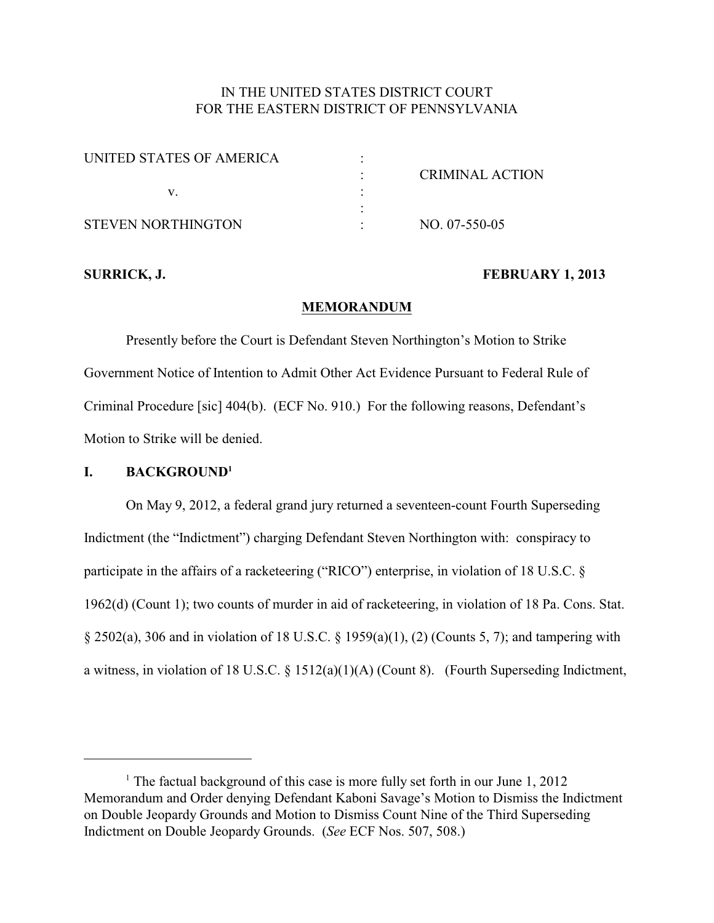# IN THE UNITED STATES DISTRICT COURT FOR THE EASTERN DISTRICT OF PENNSYLVANIA

| UNITED STATES OF AMERICA |                 |
|--------------------------|-----------------|
|                          | CRIMINAL ACTION |
|                          |                 |
|                          |                 |
| STEVEN NORTHINGTON       | $NO. 07-550-05$ |

#### **SURRICK, J. FEBRUARY 1, 2013**

#### **MEMORANDUM**

Presently before the Court is Defendant Steven Northington's Motion to Strike Government Notice of Intention to Admit Other Act Evidence Pursuant to Federal Rule of Criminal Procedure [sic] 404(b). (ECF No. 910.) For the following reasons, Defendant's Motion to Strike will be denied.

## **I. BACKGROUND<sup>1</sup>**

On May 9, 2012, a federal grand jury returned a seventeen-count Fourth Superseding Indictment (the "Indictment") charging Defendant Steven Northington with: conspiracy to participate in the affairs of a racketeering ("RICO") enterprise, in violation of 18 U.S.C. § 1962(d) (Count 1); two counts of murder in aid of racketeering, in violation of 18 Pa. Cons. Stat. § 2502(a), 306 and in violation of 18 U.S.C. § 1959(a)(1), (2) (Counts 5, 7); and tampering with a witness, in violation of 18 U.S.C. § 1512(a)(1)(A) (Count 8). (Fourth Superseding Indictment,

<sup>&</sup>lt;sup>1</sup> The factual background of this case is more fully set forth in our June  $1, 2012$ Memorandum and Order denying Defendant Kaboni Savage's Motion to Dismiss the Indictment on Double Jeopardy Grounds and Motion to Dismiss Count Nine of the Third Superseding Indictment on Double Jeopardy Grounds. (*See* ECF Nos. 507, 508.)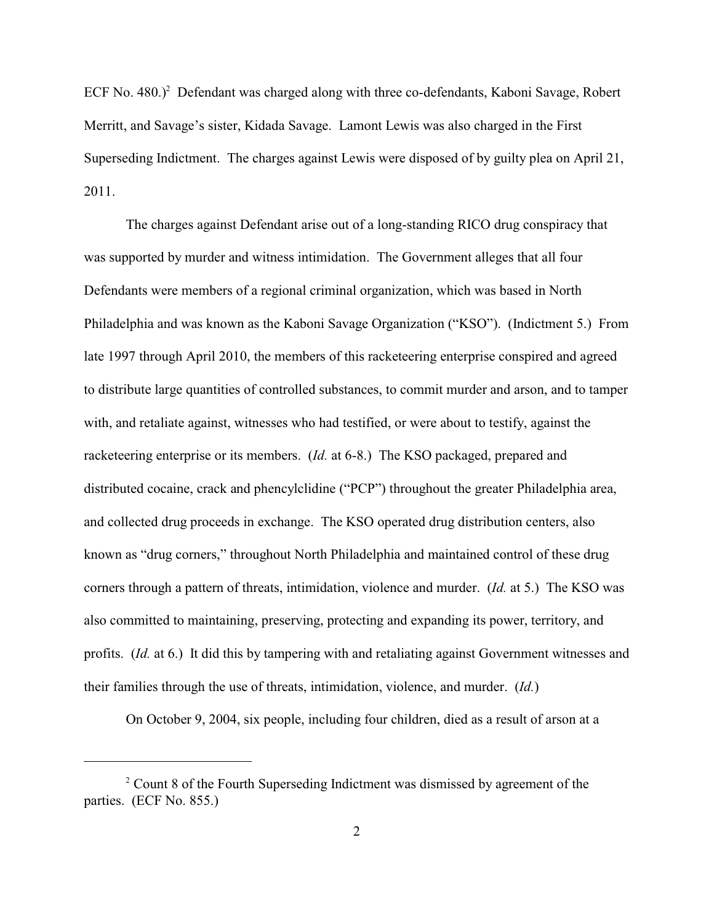ECF No.  $480.$ )<sup>2</sup> Defendant was charged along with three co-defendants, Kaboni Savage, Robert Merritt, and Savage's sister, Kidada Savage. Lamont Lewis was also charged in the First Superseding Indictment. The charges against Lewis were disposed of by guilty plea on April 21, 2011.

The charges against Defendant arise out of a long-standing RICO drug conspiracy that was supported by murder and witness intimidation. The Government alleges that all four Defendants were members of a regional criminal organization, which was based in North Philadelphia and was known as the Kaboni Savage Organization ("KSO"). (Indictment 5.) From late 1997 through April 2010, the members of this racketeering enterprise conspired and agreed to distribute large quantities of controlled substances, to commit murder and arson, and to tamper with, and retaliate against, witnesses who had testified, or were about to testify, against the racketeering enterprise or its members. (*Id.* at 6-8.) The KSO packaged, prepared and distributed cocaine, crack and phencylclidine ("PCP") throughout the greater Philadelphia area, and collected drug proceeds in exchange. The KSO operated drug distribution centers, also known as "drug corners," throughout North Philadelphia and maintained control of these drug corners through a pattern of threats, intimidation, violence and murder. (*Id.* at 5.) The KSO was also committed to maintaining, preserving, protecting and expanding its power, territory, and profits. (*Id.* at 6.) It did this by tampering with and retaliating against Government witnesses and their families through the use of threats, intimidation, violence, and murder. (*Id.*)

On October 9, 2004, six people, including four children, died as a result of arson at a

 $2^{\circ}$  Count 8 of the Fourth Superseding Indictment was dismissed by agreement of the parties. (ECF No. 855.)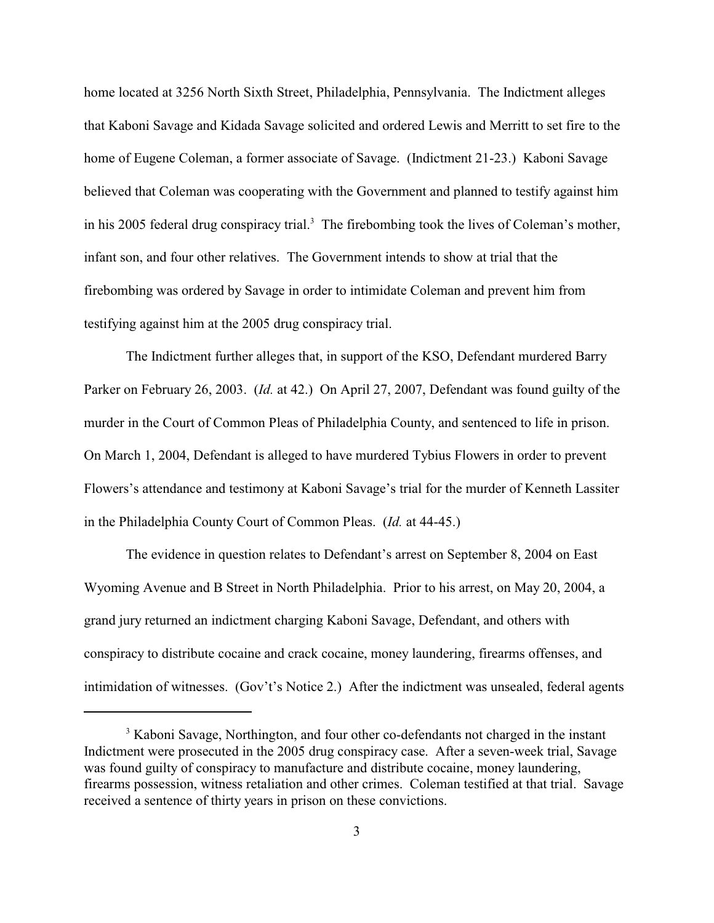home located at 3256 North Sixth Street, Philadelphia, Pennsylvania. The Indictment alleges that Kaboni Savage and Kidada Savage solicited and ordered Lewis and Merritt to set fire to the home of Eugene Coleman, a former associate of Savage. (Indictment 21-23.) Kaboni Savage believed that Coleman was cooperating with the Government and planned to testify against him in his 2005 federal drug conspiracy trial.<sup>3</sup> The firebombing took the lives of Coleman's mother, infant son, and four other relatives. The Government intends to show at trial that the firebombing was ordered by Savage in order to intimidate Coleman and prevent him from testifying against him at the 2005 drug conspiracy trial.

The Indictment further alleges that, in support of the KSO, Defendant murdered Barry Parker on February 26, 2003. (*Id.* at 42.) On April 27, 2007, Defendant was found guilty of the murder in the Court of Common Pleas of Philadelphia County, and sentenced to life in prison. On March 1, 2004, Defendant is alleged to have murdered Tybius Flowers in order to prevent Flowers's attendance and testimony at Kaboni Savage's trial for the murder of Kenneth Lassiter in the Philadelphia County Court of Common Pleas. (*Id.* at 44-45.)

The evidence in question relates to Defendant's arrest on September 8, 2004 on East Wyoming Avenue and B Street in North Philadelphia. Prior to his arrest, on May 20, 2004, a grand jury returned an indictment charging Kaboni Savage, Defendant, and others with conspiracy to distribute cocaine and crack cocaine, money laundering, firearms offenses, and intimidation of witnesses. (Gov't's Notice 2.) After the indictment was unsealed, federal agents

<sup>&</sup>lt;sup>3</sup> Kaboni Savage, Northington, and four other co-defendants not charged in the instant Indictment were prosecuted in the 2005 drug conspiracy case. After a seven-week trial, Savage was found guilty of conspiracy to manufacture and distribute cocaine, money laundering, firearms possession, witness retaliation and other crimes. Coleman testified at that trial. Savage received a sentence of thirty years in prison on these convictions.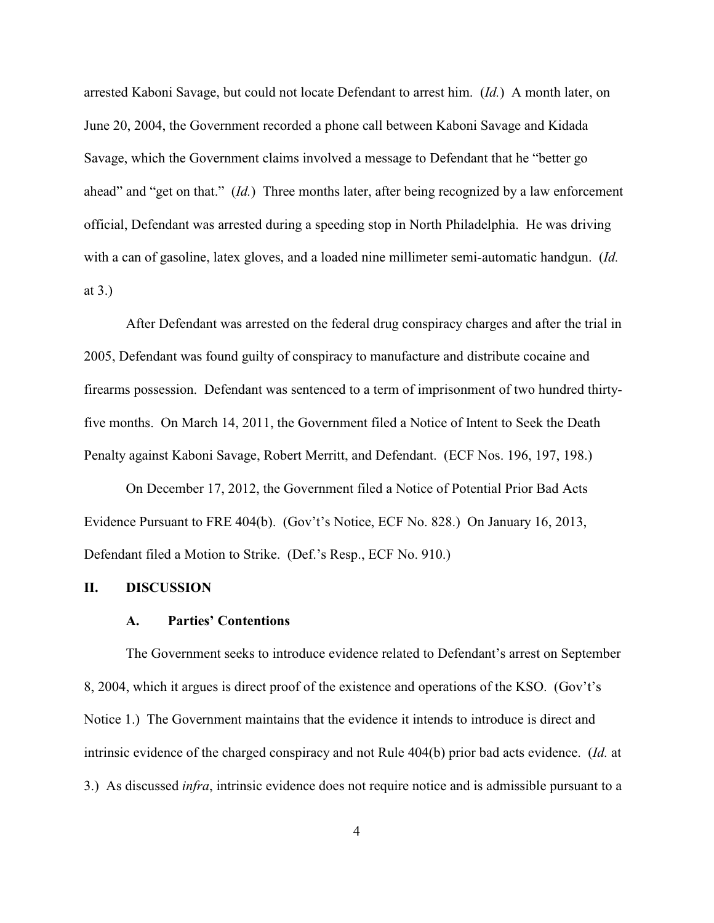arrested Kaboni Savage, but could not locate Defendant to arrest him. (*Id.*) A month later, on June 20, 2004, the Government recorded a phone call between Kaboni Savage and Kidada Savage, which the Government claims involved a message to Defendant that he "better go ahead" and "get on that." (*Id.*) Three months later, after being recognized by a law enforcement official, Defendant was arrested during a speeding stop in North Philadelphia. He was driving with a can of gasoline, latex gloves, and a loaded nine millimeter semi-automatic handgun. (*Id.* at 3.)

After Defendant was arrested on the federal drug conspiracy charges and after the trial in 2005, Defendant was found guilty of conspiracy to manufacture and distribute cocaine and firearms possession. Defendant was sentenced to a term of imprisonment of two hundred thirtyfive months. On March 14, 2011, the Government filed a Notice of Intent to Seek the Death Penalty against Kaboni Savage, Robert Merritt, and Defendant. (ECF Nos. 196, 197, 198.)

On December 17, 2012, the Government filed a Notice of Potential Prior Bad Acts Evidence Pursuant to FRE 404(b). (Gov't's Notice, ECF No. 828.) On January 16, 2013, Defendant filed a Motion to Strike. (Def.'s Resp., ECF No. 910.)

#### **II. DISCUSSION**

#### **A. Parties' Contentions**

The Government seeks to introduce evidence related to Defendant's arrest on September 8, 2004, which it argues is direct proof of the existence and operations of the KSO. (Gov't's Notice 1.) The Government maintains that the evidence it intends to introduce is direct and intrinsic evidence of the charged conspiracy and not Rule 404(b) prior bad acts evidence. (*Id.* at 3.) As discussed *infra*, intrinsic evidence does not require notice and is admissible pursuant to a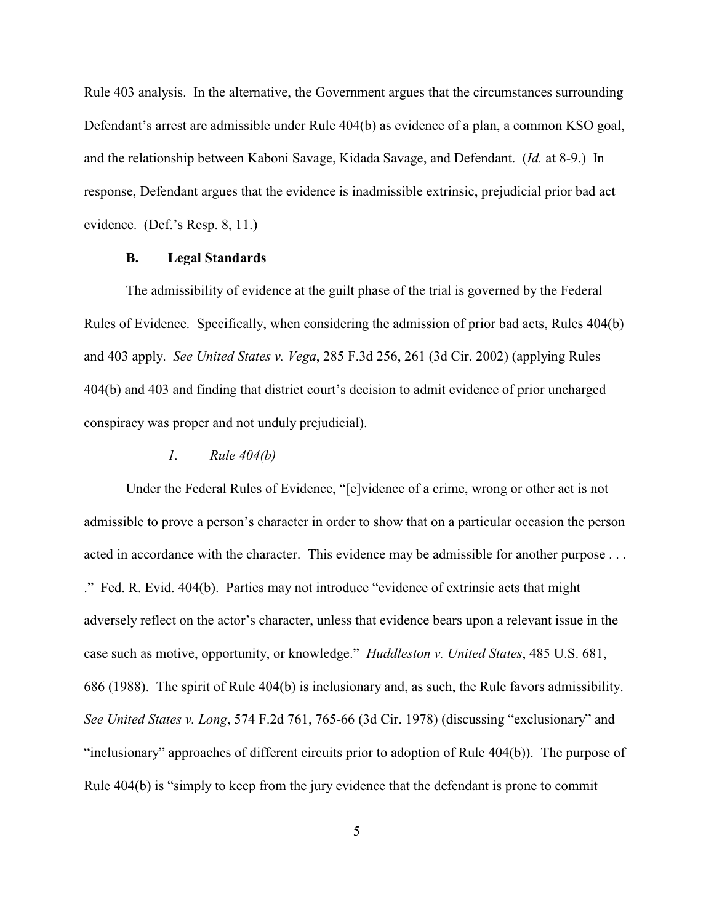Rule 403 analysis. In the alternative, the Government argues that the circumstances surrounding Defendant's arrest are admissible under Rule 404(b) as evidence of a plan, a common KSO goal, and the relationship between Kaboni Savage, Kidada Savage, and Defendant. (*Id.* at 8-9.) In response, Defendant argues that the evidence is inadmissible extrinsic, prejudicial prior bad act evidence. (Def.'s Resp. 8, 11.)

## **B. Legal Standards**

The admissibility of evidence at the guilt phase of the trial is governed by the Federal Rules of Evidence. Specifically, when considering the admission of prior bad acts, Rules 404(b) and 403 apply. *See United States v. Vega*, 285 F.3d 256, 261 (3d Cir. 2002) (applying Rules 404(b) and 403 and finding that district court's decision to admit evidence of prior uncharged conspiracy was proper and not unduly prejudicial).

#### *1. Rule 404(b)*

Under the Federal Rules of Evidence, "[e]vidence of a crime, wrong or other act is not admissible to prove a person's character in order to show that on a particular occasion the person acted in accordance with the character. This evidence may be admissible for another purpose ... ." Fed. R. Evid. 404(b). Parties may not introduce "evidence of extrinsic acts that might adversely reflect on the actor's character, unless that evidence bears upon a relevant issue in the case such as motive, opportunity, or knowledge." *Huddleston v. United States*, 485 U.S. 681, 686 (1988). The spirit of Rule 404(b) is inclusionary and, as such, the Rule favors admissibility. *See United States v. Long*, 574 F.2d 761, 765-66 (3d Cir. 1978) (discussing "exclusionary" and "inclusionary" approaches of different circuits prior to adoption of Rule 404(b)). The purpose of Rule 404(b) is "simply to keep from the jury evidence that the defendant is prone to commit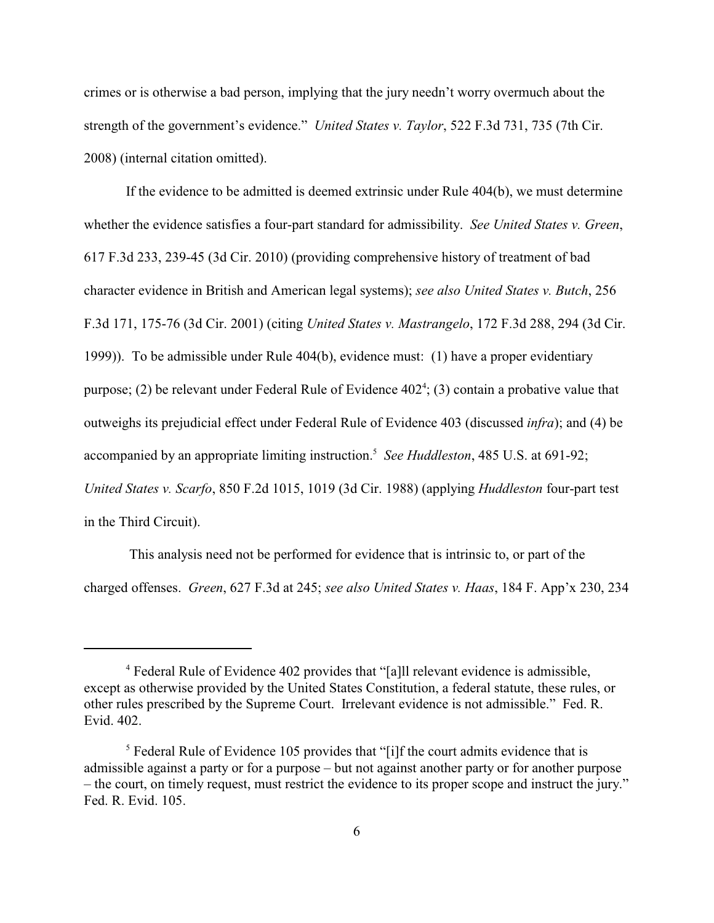crimes or is otherwise a bad person, implying that the jury needn't worry overmuch about the strength of the government's evidence." *United States v. Taylor*, 522 F.3d 731, 735 (7th Cir. 2008) (internal citation omitted).

If the evidence to be admitted is deemed extrinsic under Rule 404(b), we must determine whether the evidence satisfies a four-part standard for admissibility. *See United States v. Green*, 617 F.3d 233, 239-45 (3d Cir. 2010) (providing comprehensive history of treatment of bad character evidence in British and American legal systems); *see also United States v. Butch*, 256 F.3d 171, 175-76 (3d Cir. 2001) (citing *United States v. Mastrangelo*, 172 F.3d 288, 294 (3d Cir. 1999)). To be admissible under Rule 404(b), evidence must: (1) have a proper evidentiary purpose; (2) be relevant under Federal Rule of Evidence  $402^4$ ; (3) contain a probative value that outweighs its prejudicial effect under Federal Rule of Evidence 403 (discussed *infra*); and (4) be accompanied by an appropriate limiting instruction.<sup>5</sup> See Huddleston, 485 U.S. at 691-92; *United States v. Scarfo*, 850 F.2d 1015, 1019 (3d Cir. 1988) (applying *Huddleston* four-part test in the Third Circuit).

 This analysis need not be performed for evidence that is intrinsic to, or part of the charged offenses. *Green*, 627 F.3d at 245; *see also United States v. Haas*, 184 F. App'x 230, 234

Federal Rule of Evidence 402 provides that "[a]ll relevant evidence is admissible, <sup>4</sup> except as otherwise provided by the United States Constitution, a federal statute, these rules, or other rules prescribed by the Supreme Court. Irrelevant evidence is not admissible." Fed. R. Evid. 402.

 $5$  Federal Rule of Evidence 105 provides that "[i]f the court admits evidence that is admissible against a party or for a purpose – but not against another party or for another purpose – the court, on timely request, must restrict the evidence to its proper scope and instruct the jury." Fed. R. Evid. 105.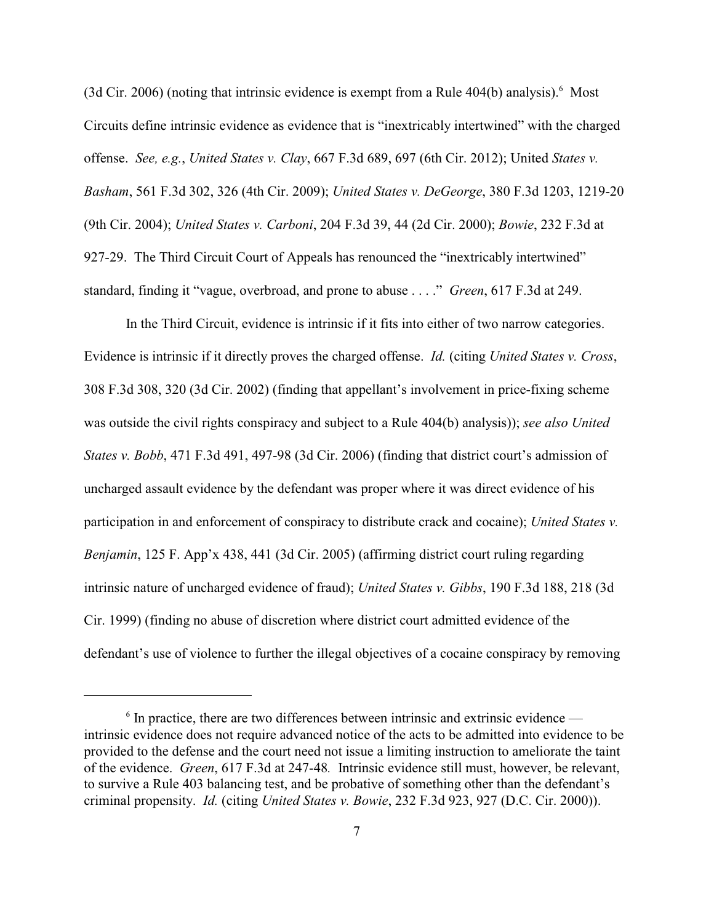(3d Cir. 2006) (noting that intrinsic evidence is exempt from a Rule  $404(b)$  analysis).<sup>6</sup> Most Circuits define intrinsic evidence as evidence that is "inextricably intertwined" with the charged offense. *See, e.g.*, *United States v. Clay*, 667 F.3d 689, 697 (6th Cir. 2012); United *States v. Basham*, 561 F.3d 302, 326 (4th Cir. 2009); *United States v. DeGeorge*, 380 F.3d 1203, 1219-20 (9th Cir. 2004); *United States v. Carboni*, 204 F.3d 39, 44 (2d Cir. 2000); *Bowie*, 232 F.3d at 927-29. The Third Circuit Court of Appeals has renounced the "inextricably intertwined" standard, finding it "vague, overbroad, and prone to abuse . . . ." *Green*, 617 F.3d at 249.

In the Third Circuit, evidence is intrinsic if it fits into either of two narrow categories. Evidence is intrinsic if it directly proves the charged offense. *Id.* (citing *United States v. Cross*, 308 F.3d 308, 320 (3d Cir. 2002) (finding that appellant's involvement in price-fixing scheme was outside the civil rights conspiracy and subject to a Rule 404(b) analysis)); *see also United States v. Bobb*, 471 F.3d 491, 497-98 (3d Cir. 2006) (finding that district court's admission of uncharged assault evidence by the defendant was proper where it was direct evidence of his participation in and enforcement of conspiracy to distribute crack and cocaine); *United States v. Benjamin*, 125 F. App'x 438, 441 (3d Cir. 2005) (affirming district court ruling regarding intrinsic nature of uncharged evidence of fraud); *United States v. Gibbs*, 190 F.3d 188, 218 (3d Cir. 1999) (finding no abuse of discretion where district court admitted evidence of the defendant's use of violence to further the illegal objectives of a cocaine conspiracy by removing

 $6$  In practice, there are two differences between intrinsic and extrinsic evidence intrinsic evidence does not require advanced notice of the acts to be admitted into evidence to be provided to the defense and the court need not issue a limiting instruction to ameliorate the taint of the evidence. *Green*, 617 F.3d at 247-48*.* Intrinsic evidence still must, however, be relevant, to survive a Rule 403 balancing test, and be probative of something other than the defendant's criminal propensity. *Id.* (citing *United States v. Bowie*, 232 F.3d 923, 927 (D.C. Cir. 2000)).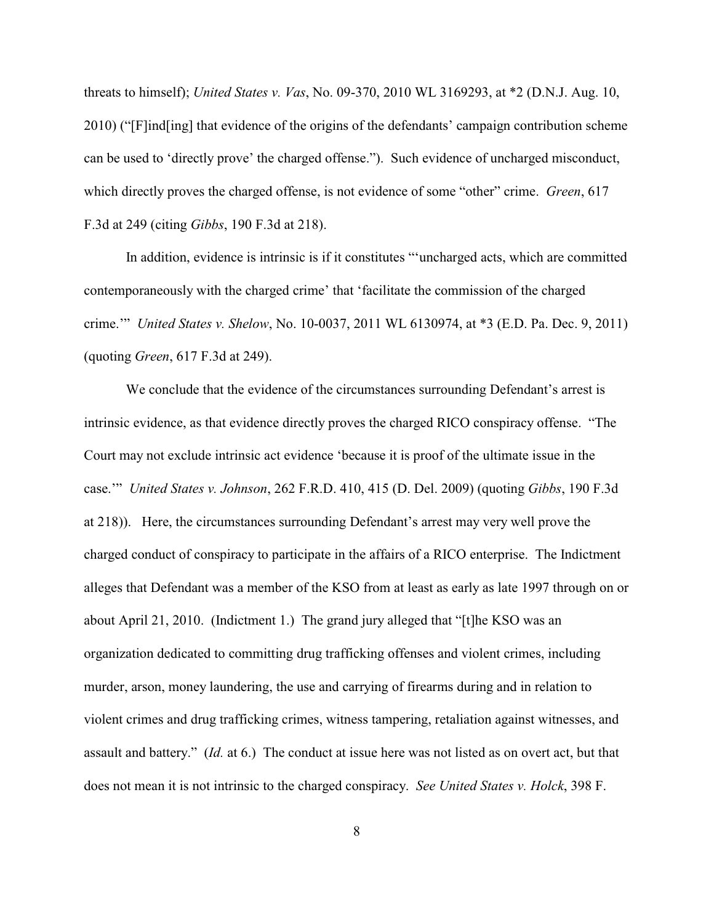threats to himself); *United States v. Vas*, No. 09-370, 2010 WL 3169293, at \*2 (D.N.J. Aug. 10, 2010) ("[F]ind[ing] that evidence of the origins of the defendants' campaign contribution scheme can be used to 'directly prove' the charged offense."). Such evidence of uncharged misconduct, which directly proves the charged offense, is not evidence of some "other" crime. *Green*, 617 F.3d at 249 (citing *Gibbs*, 190 F.3d at 218).

In addition, evidence is intrinsic is if it constitutes "'uncharged acts, which are committed contemporaneously with the charged crime' that 'facilitate the commission of the charged crime.'" *United States v. Shelow*, No. 10-0037, 2011 WL 6130974, at \*3 (E.D. Pa. Dec. 9, 2011) (quoting *Green*, 617 F.3d at 249).

We conclude that the evidence of the circumstances surrounding Defendant's arrest is intrinsic evidence, as that evidence directly proves the charged RICO conspiracy offense. "The Court may not exclude intrinsic act evidence 'because it is proof of the ultimate issue in the case.'" *United States v. Johnson*, 262 F.R.D. 410, 415 (D. Del. 2009) (quoting *Gibbs*, 190 F.3d at 218)). Here, the circumstances surrounding Defendant's arrest may very well prove the charged conduct of conspiracy to participate in the affairs of a RICO enterprise. The Indictment alleges that Defendant was a member of the KSO from at least as early as late 1997 through on or about April 21, 2010. (Indictment 1.) The grand jury alleged that "[t]he KSO was an organization dedicated to committing drug trafficking offenses and violent crimes, including murder, arson, money laundering, the use and carrying of firearms during and in relation to violent crimes and drug trafficking crimes, witness tampering, retaliation against witnesses, and assault and battery." (*Id.* at 6.) The conduct at issue here was not listed as on overt act, but that does not mean it is not intrinsic to the charged conspiracy. *See United States v. Holck*, 398 F.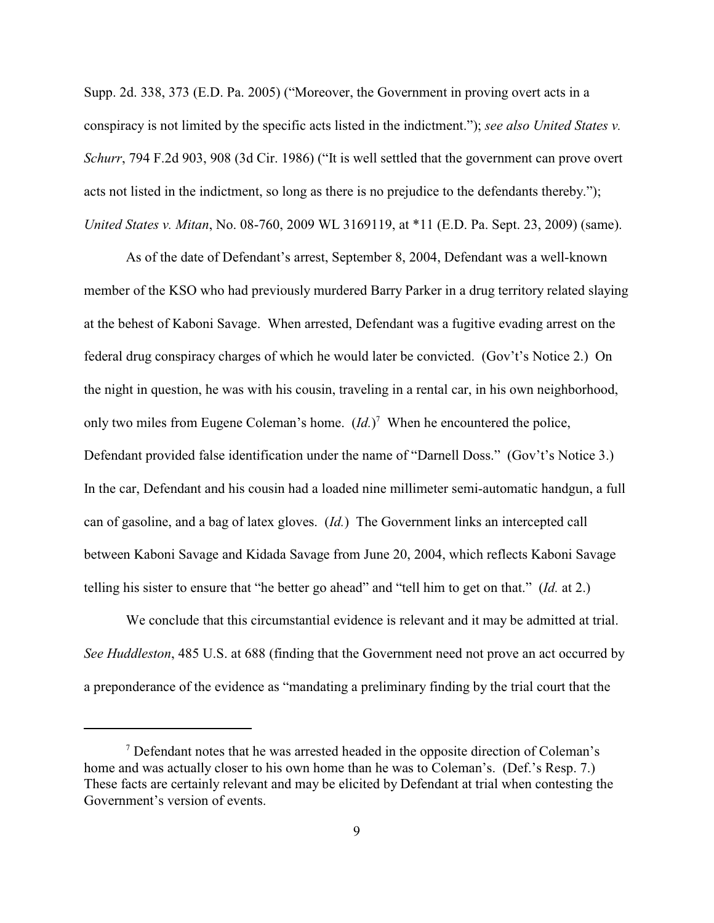Supp. 2d. 338, 373 (E.D. Pa. 2005) ("Moreover, the Government in proving overt acts in a conspiracy is not limited by the specific acts listed in the indictment."); *see also United States v. Schurr*, 794 F.2d 903, 908 (3d Cir. 1986) ("It is well settled that the government can prove overt acts not listed in the indictment, so long as there is no prejudice to the defendants thereby."); *United States v. Mitan*, No. 08-760, 2009 WL 3169119, at \*11 (E.D. Pa. Sept. 23, 2009) (same).

As of the date of Defendant's arrest, September 8, 2004, Defendant was a well-known member of the KSO who had previously murdered Barry Parker in a drug territory related slaying at the behest of Kaboni Savage. When arrested, Defendant was a fugitive evading arrest on the federal drug conspiracy charges of which he would later be convicted. (Gov't's Notice 2.) On the night in question, he was with his cousin, traveling in a rental car, in his own neighborhood, only two miles from Eugene Coleman's home.  $(Id.)^7$  When he encountered the police, Defendant provided false identification under the name of "Darnell Doss." (Gov't's Notice 3.) In the car, Defendant and his cousin had a loaded nine millimeter semi-automatic handgun, a full can of gasoline, and a bag of latex gloves. (*Id.*) The Government links an intercepted call between Kaboni Savage and Kidada Savage from June 20, 2004, which reflects Kaboni Savage telling his sister to ensure that "he better go ahead" and "tell him to get on that." (*Id.* at 2.)

We conclude that this circumstantial evidence is relevant and it may be admitted at trial. *See Huddleston*, 485 U.S. at 688 (finding that the Government need not prove an act occurred by a preponderance of the evidence as "mandating a preliminary finding by the trial court that the

 $\alpha$ <sup>7</sup> Defendant notes that he was arrested headed in the opposite direction of Coleman's home and was actually closer to his own home than he was to Coleman's. (Def.'s Resp. 7.) These facts are certainly relevant and may be elicited by Defendant at trial when contesting the Government's version of events.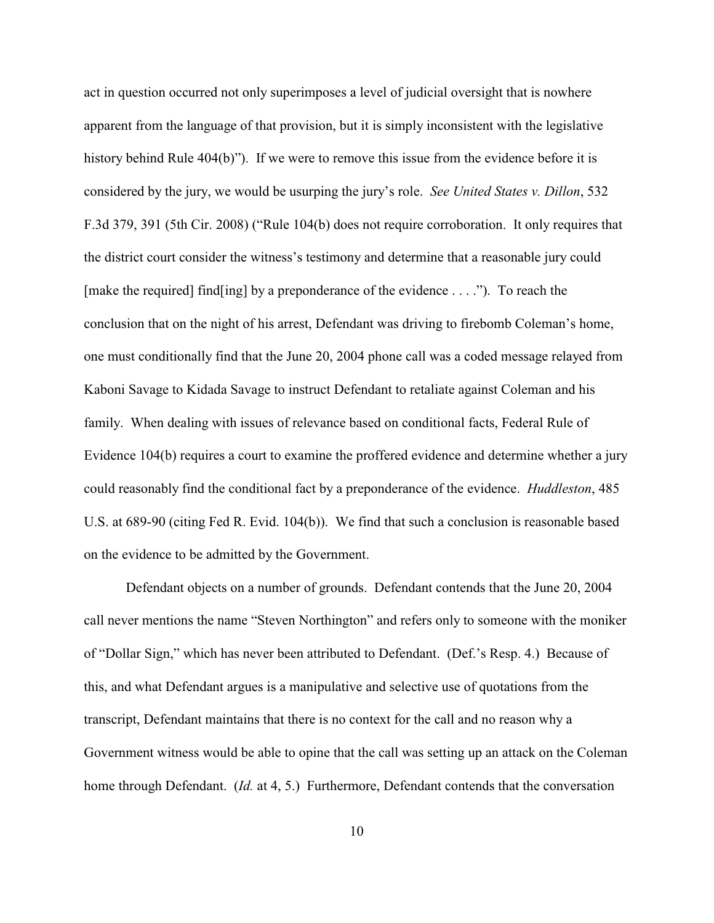act in question occurred not only superimposes a level of judicial oversight that is nowhere apparent from the language of that provision, but it is simply inconsistent with the legislative history behind Rule 404(b)"). If we were to remove this issue from the evidence before it is considered by the jury, we would be usurping the jury's role. *See United States v. Dillon*, 532 F.3d 379, 391 (5th Cir. 2008) ("Rule 104(b) does not require corroboration. It only requires that the district court consider the witness's testimony and determine that a reasonable jury could [make the required] find [ing] by a preponderance of the evidence . . . ."). To reach the conclusion that on the night of his arrest, Defendant was driving to firebomb Coleman's home, one must conditionally find that the June 20, 2004 phone call was a coded message relayed from Kaboni Savage to Kidada Savage to instruct Defendant to retaliate against Coleman and his family. When dealing with issues of relevance based on conditional facts, Federal Rule of Evidence 104(b) requires a court to examine the proffered evidence and determine whether a jury could reasonably find the conditional fact by a preponderance of the evidence. *Huddleston*, 485 U.S. at 689-90 (citing Fed R. Evid. 104(b)). We find that such a conclusion is reasonable based on the evidence to be admitted by the Government.

Defendant objects on a number of grounds. Defendant contends that the June 20, 2004 call never mentions the name "Steven Northington" and refers only to someone with the moniker of "Dollar Sign," which has never been attributed to Defendant. (Def.'s Resp. 4.) Because of this, and what Defendant argues is a manipulative and selective use of quotations from the transcript, Defendant maintains that there is no context for the call and no reason why a Government witness would be able to opine that the call was setting up an attack on the Coleman home through Defendant. (*Id.* at 4, 5.) Furthermore, Defendant contends that the conversation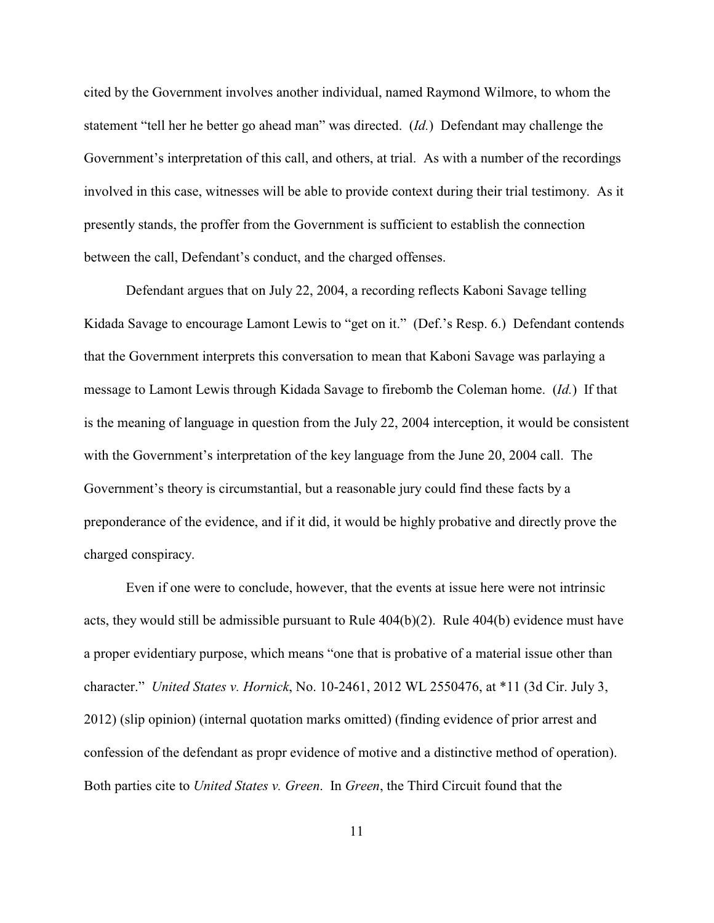cited by the Government involves another individual, named Raymond Wilmore, to whom the statement "tell her he better go ahead man" was directed. (*Id.*) Defendant may challenge the Government's interpretation of this call, and others, at trial. As with a number of the recordings involved in this case, witnesses will be able to provide context during their trial testimony. As it presently stands, the proffer from the Government is sufficient to establish the connection between the call, Defendant's conduct, and the charged offenses.

Defendant argues that on July 22, 2004, a recording reflects Kaboni Savage telling Kidada Savage to encourage Lamont Lewis to "get on it." (Def.'s Resp. 6.) Defendant contends that the Government interprets this conversation to mean that Kaboni Savage was parlaying a message to Lamont Lewis through Kidada Savage to firebomb the Coleman home. (*Id.*) If that is the meaning of language in question from the July 22, 2004 interception, it would be consistent with the Government's interpretation of the key language from the June 20, 2004 call. The Government's theory is circumstantial, but a reasonable jury could find these facts by a preponderance of the evidence, and if it did, it would be highly probative and directly prove the charged conspiracy.

Even if one were to conclude, however, that the events at issue here were not intrinsic acts, they would still be admissible pursuant to Rule 404(b)(2). Rule 404(b) evidence must have a proper evidentiary purpose, which means "one that is probative of a material issue other than character." *United States v. Hornick*, No. 10-2461, 2012 WL 2550476, at \*11 (3d Cir. July 3, 2012) (slip opinion) (internal quotation marks omitted) (finding evidence of prior arrest and confession of the defendant as propr evidence of motive and a distinctive method of operation). Both parties cite to *United States v. Green*. In *Green*, the Third Circuit found that the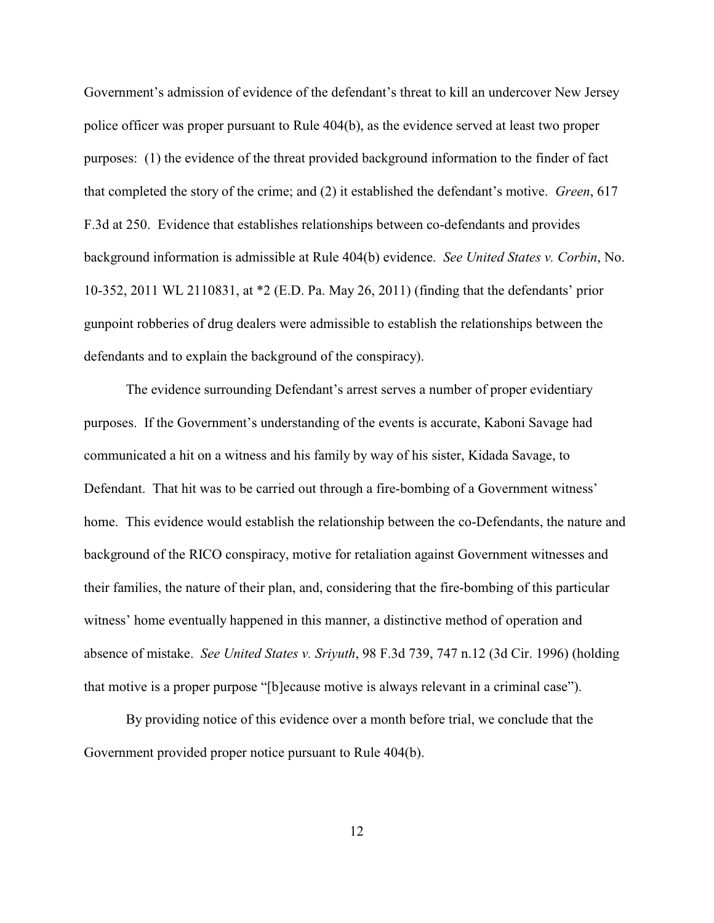Government's admission of evidence of the defendant's threat to kill an undercover New Jersey police officer was proper pursuant to Rule 404(b), as the evidence served at least two proper purposes: (1) the evidence of the threat provided background information to the finder of fact that completed the story of the crime; and (2) it established the defendant's motive. *Green*, 617 F.3d at 250. Evidence that establishes relationships between co-defendants and provides background information is admissible at Rule 404(b) evidence. *See United States v. Corbin*, No. 10-352, 2011 WL 2110831, at \*2 (E.D. Pa. May 26, 2011) (finding that the defendants' prior gunpoint robberies of drug dealers were admissible to establish the relationships between the defendants and to explain the background of the conspiracy).

The evidence surrounding Defendant's arrest serves a number of proper evidentiary purposes. If the Government's understanding of the events is accurate, Kaboni Savage had communicated a hit on a witness and his family by way of his sister, Kidada Savage, to Defendant. That hit was to be carried out through a fire-bombing of a Government witness' home. This evidence would establish the relationship between the co-Defendants, the nature and background of the RICO conspiracy, motive for retaliation against Government witnesses and their families, the nature of their plan, and, considering that the fire-bombing of this particular witness' home eventually happened in this manner, a distinctive method of operation and absence of mistake. *See United States v. Sriyuth*, 98 F.3d 739, 747 n.12 (3d Cir. 1996) (holding that motive is a proper purpose "[b]ecause motive is always relevant in a criminal case").

By providing notice of this evidence over a month before trial, we conclude that the Government provided proper notice pursuant to Rule 404(b).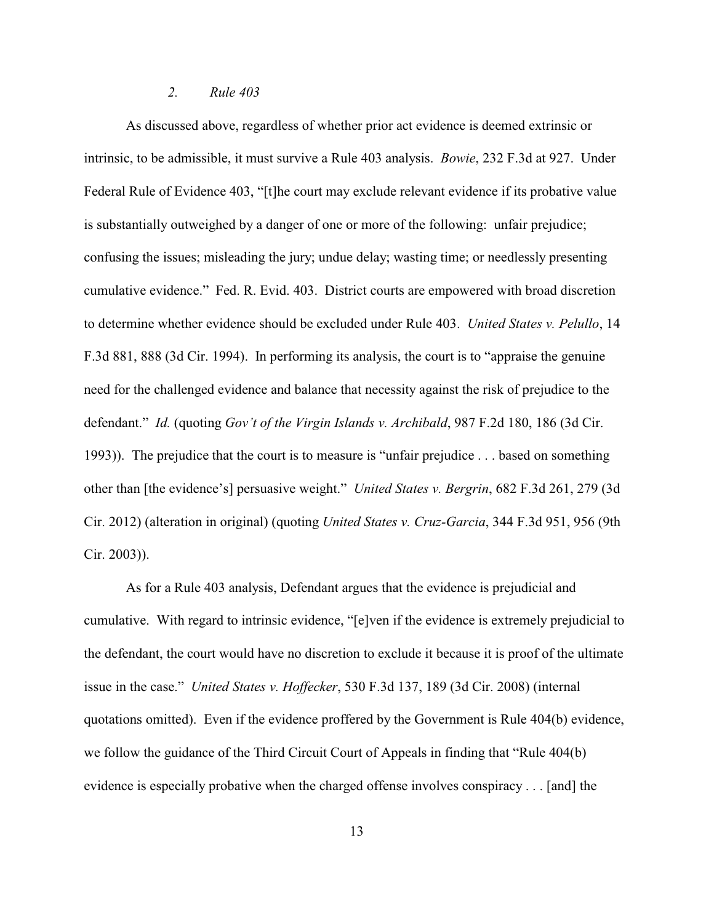#### *2. Rule 403*

As discussed above, regardless of whether prior act evidence is deemed extrinsic or intrinsic, to be admissible, it must survive a Rule 403 analysis. *Bowie*, 232 F.3d at 927. Under Federal Rule of Evidence 403, "[t]he court may exclude relevant evidence if its probative value is substantially outweighed by a danger of one or more of the following: unfair prejudice; confusing the issues; misleading the jury; undue delay; wasting time; or needlessly presenting cumulative evidence." Fed. R. Evid. 403. District courts are empowered with broad discretion to determine whether evidence should be excluded under Rule 403. *United States v. Pelullo*, 14 F.3d 881, 888 (3d Cir. 1994). In performing its analysis, the court is to "appraise the genuine need for the challenged evidence and balance that necessity against the risk of prejudice to the defendant." *Id.* (quoting *Gov't of the Virgin Islands v. Archibald*, 987 F.2d 180, 186 (3d Cir. 1993)). The prejudice that the court is to measure is "unfair prejudice . . . based on something other than [the evidence's] persuasive weight." *United States v. Bergrin*, 682 F.3d 261, 279 (3d Cir. 2012) (alteration in original) (quoting *United States v. Cruz-Garcia*, 344 F.3d 951, 956 (9th Cir. 2003)).

As for a Rule 403 analysis, Defendant argues that the evidence is prejudicial and cumulative. With regard to intrinsic evidence, "[e]ven if the evidence is extremely prejudicial to the defendant, the court would have no discretion to exclude it because it is proof of the ultimate issue in the case." *United States v. Hoffecker*, 530 F.3d 137, 189 (3d Cir. 2008) (internal quotations omitted). Even if the evidence proffered by the Government is Rule 404(b) evidence, we follow the guidance of the Third Circuit Court of Appeals in finding that "Rule 404(b) evidence is especially probative when the charged offense involves conspiracy . . . [and] the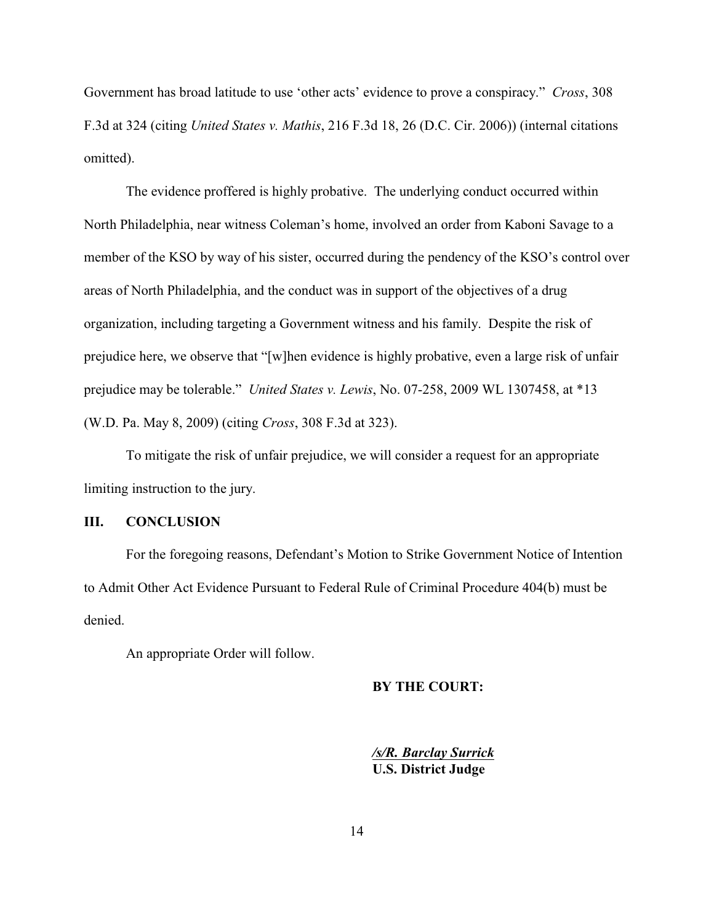Government has broad latitude to use 'other acts' evidence to prove a conspiracy." *Cross*, 308 F.3d at 324 (citing *United States v. Mathis*, 216 F.3d 18, 26 (D.C. Cir. 2006)) (internal citations omitted).

The evidence proffered is highly probative. The underlying conduct occurred within North Philadelphia, near witness Coleman's home, involved an order from Kaboni Savage to a member of the KSO by way of his sister, occurred during the pendency of the KSO's control over areas of North Philadelphia, and the conduct was in support of the objectives of a drug organization, including targeting a Government witness and his family. Despite the risk of prejudice here, we observe that "[w]hen evidence is highly probative, even a large risk of unfair prejudice may be tolerable." *United States v. Lewis*, No. 07-258, 2009 WL 1307458, at \*13 (W.D. Pa. May 8, 2009) (citing *Cross*, 308 F.3d at 323).

To mitigate the risk of unfair prejudice, we will consider a request for an appropriate limiting instruction to the jury.

## **III. CONCLUSION**

For the foregoing reasons, Defendant's Motion to Strike Government Notice of Intention to Admit Other Act Evidence Pursuant to Federal Rule of Criminal Procedure 404(b) must be denied.

An appropriate Order will follow.

#### **BY THE COURT:**

*/s/R. Barclay Surrick* **U.S. District Judge**